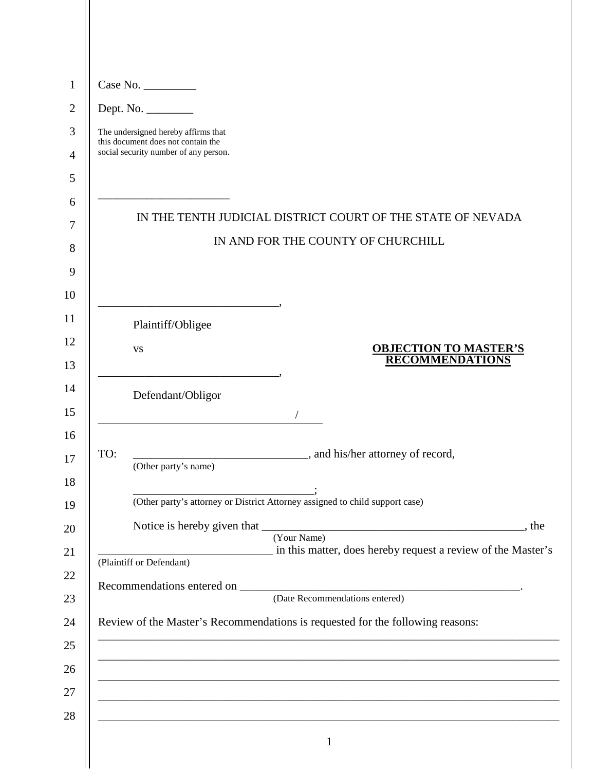|     | Dept. No. $\_\_$                                                                         |
|-----|------------------------------------------------------------------------------------------|
|     | The undersigned hereby affirms that                                                      |
|     | this document does not contain the<br>social security number of any person.              |
|     |                                                                                          |
|     |                                                                                          |
|     | IN THE TENTH JUDICIAL DISTRICT COURT OF THE STATE OF NEVADA                              |
|     | IN AND FOR THE COUNTY OF CHURCHILL                                                       |
|     |                                                                                          |
|     |                                                                                          |
|     | Plaintiff/Obligee                                                                        |
|     | <b>OBJECTION TO MASTER'S</b><br>VS                                                       |
|     | <b>RECOMMENDATIONS</b>                                                                   |
|     | Defendant/Obligor                                                                        |
|     |                                                                                          |
|     |                                                                                          |
| TO: | (Other party's name)                                                                     |
|     |                                                                                          |
|     | (Other party's attorney or District Attorney assigned to child support case)             |
|     | (Your Name)                                                                              |
|     | in this matter, does hereby request a review of the Master's<br>(Plaintiff or Defendant) |
|     |                                                                                          |
|     | Recommendations entered on (Date Recommendations entered)                                |
|     | Review of the Master's Recommendations is requested for the following reasons:           |
|     |                                                                                          |
|     |                                                                                          |
|     |                                                                                          |
|     |                                                                                          |
|     | $\mathbf{1}$                                                                             |

 $\mathsf{I}$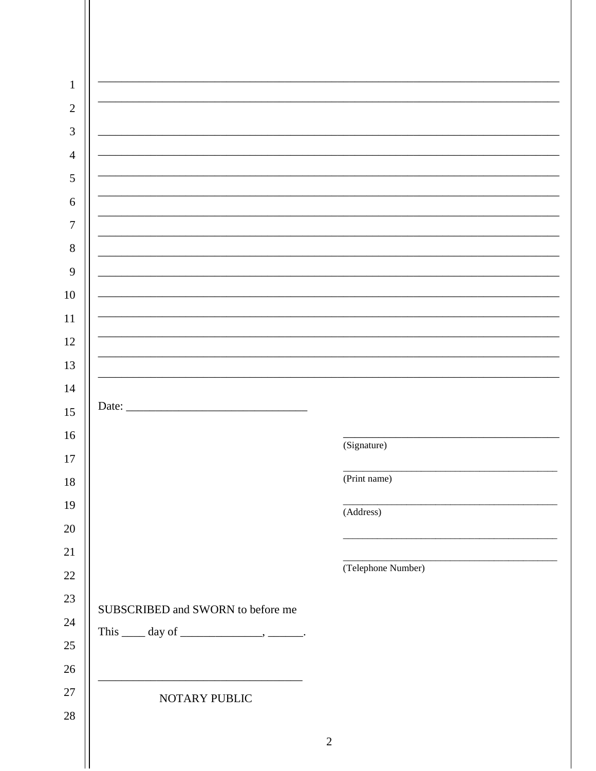| $\mathbf{1}$   |                                      |                    |
|----------------|--------------------------------------|--------------------|
| $\overline{2}$ |                                      |                    |
| $\mathfrak{Z}$ |                                      |                    |
| $\overline{4}$ |                                      |                    |
| $\sqrt{5}$     |                                      |                    |
| 6              |                                      |                    |
| $\tau$         |                                      |                    |
| $8\,$          |                                      |                    |
| 9              |                                      |                    |
| $10\,$         |                                      |                    |
| $11\,$         |                                      |                    |
| 12             |                                      |                    |
| 13             |                                      |                    |
| 14             | Date: $\overline{\phantom{a}}$       |                    |
| 15             |                                      |                    |
| 16             |                                      | (Signature)        |
| $17\,$         |                                      | (Print name)       |
| $18\,$         |                                      |                    |
| 19<br>$20\,$   |                                      | (Address)          |
| $21\,$         |                                      |                    |
| $22\,$         |                                      | (Telephone Number) |
| $23\,$         |                                      |                    |
| 24             | SUBSCRIBED and SWORN to before me    |                    |
| $25\,$         | This $\_\_\_$ day of $\_\_\_\_\_\_\$ |                    |
| $26\,$         |                                      |                    |
| $27\,$         | NOTARY PUBLIC                        |                    |
| $28\,$         |                                      |                    |
|                |                                      | $\sqrt{2}$         |
|                |                                      |                    |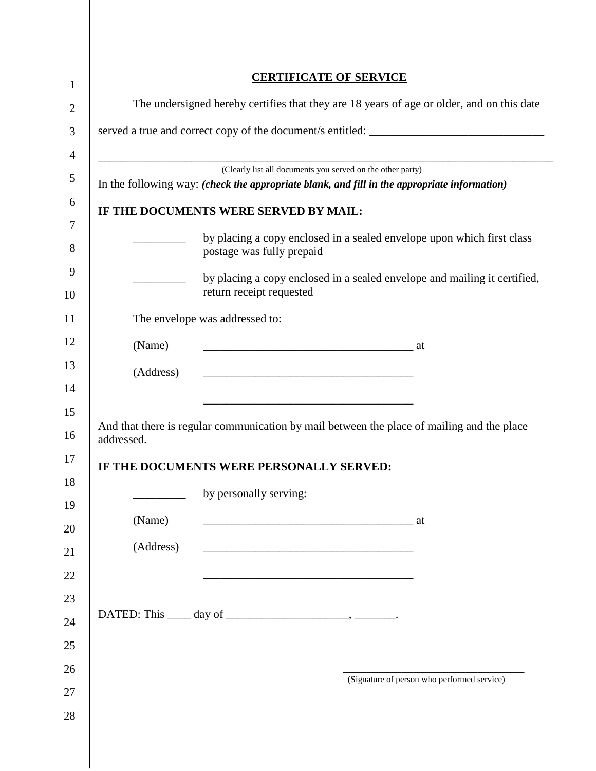|                                                                                           |           |                                                                                                                      | <b>CERTIFICATE OF SERVICE</b>                                                                                        |                                                                                            |  |  |
|-------------------------------------------------------------------------------------------|-----------|----------------------------------------------------------------------------------------------------------------------|----------------------------------------------------------------------------------------------------------------------|--------------------------------------------------------------------------------------------|--|--|
| The undersigned hereby certifies that they are 18 years of age or older, and on this date |           |                                                                                                                      |                                                                                                                      |                                                                                            |  |  |
|                                                                                           |           |                                                                                                                      |                                                                                                                      |                                                                                            |  |  |
|                                                                                           |           |                                                                                                                      |                                                                                                                      |                                                                                            |  |  |
|                                                                                           |           | In the following way: (check the appropriate blank, and fill in the appropriate information)                         | (Clearly list all documents you served on the other party)                                                           |                                                                                            |  |  |
|                                                                                           |           | IF THE DOCUMENTS WERE SERVED BY MAIL:                                                                                |                                                                                                                      |                                                                                            |  |  |
|                                                                                           |           | postage was fully prepaid                                                                                            |                                                                                                                      | by placing a copy enclosed in a sealed envelope upon which first class                     |  |  |
|                                                                                           |           | return receipt requested                                                                                             |                                                                                                                      | by placing a copy enclosed in a sealed envelope and mailing it certified,                  |  |  |
|                                                                                           |           | The envelope was addressed to:                                                                                       |                                                                                                                      |                                                                                            |  |  |
|                                                                                           | (Name)    |                                                                                                                      |                                                                                                                      |                                                                                            |  |  |
|                                                                                           | (Address) |                                                                                                                      |                                                                                                                      |                                                                                            |  |  |
|                                                                                           |           |                                                                                                                      |                                                                                                                      |                                                                                            |  |  |
| addressed.                                                                                |           |                                                                                                                      |                                                                                                                      | And that there is regular communication by mail between the place of mailing and the place |  |  |
|                                                                                           |           | IF THE DOCUMENTS WERE PERSONALLY SERVED:                                                                             |                                                                                                                      |                                                                                            |  |  |
|                                                                                           |           | by personally serving:                                                                                               |                                                                                                                      |                                                                                            |  |  |
|                                                                                           | (Name)    |                                                                                                                      |                                                                                                                      |                                                                                            |  |  |
|                                                                                           | (Address) | <u> 1980 - Johann John Stone, mars and de final and de final and design and design and design and design and des</u> |                                                                                                                      |                                                                                            |  |  |
|                                                                                           |           |                                                                                                                      | <u> 1989 - Johann Barbara, marka a shekara tsa 1989 - An tsa 1989 - An tsa 1989 - An tsa 1989 - An tsa 1989 - An</u> |                                                                                            |  |  |
|                                                                                           |           |                                                                                                                      |                                                                                                                      |                                                                                            |  |  |
|                                                                                           |           |                                                                                                                      |                                                                                                                      |                                                                                            |  |  |
|                                                                                           |           |                                                                                                                      |                                                                                                                      |                                                                                            |  |  |
|                                                                                           |           |                                                                                                                      |                                                                                                                      | (Signature of person who performed service)                                                |  |  |

 $\begin{array}{c} \hline \end{array}$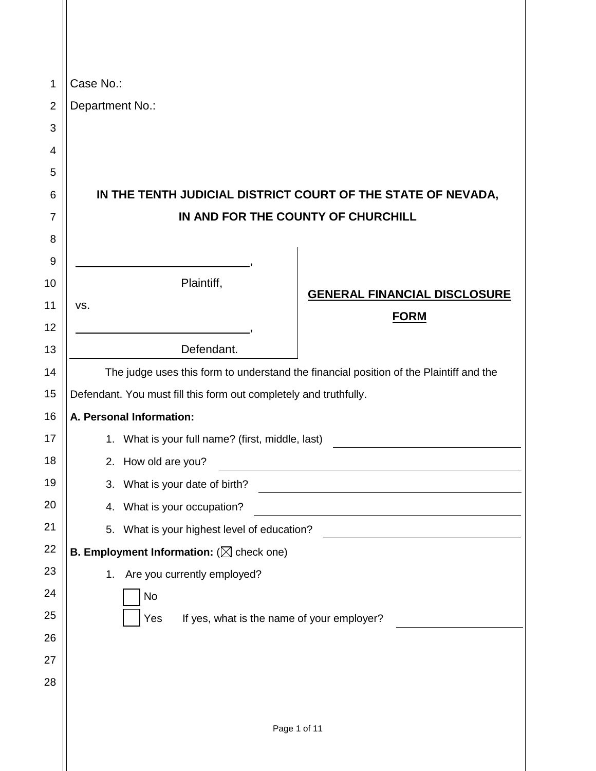| $\mathbf{1}$   | Case No.:                                                                              |
|----------------|----------------------------------------------------------------------------------------|
| $\overline{2}$ | Department No.:                                                                        |
| 3              |                                                                                        |
| 4              |                                                                                        |
| 5              |                                                                                        |
| 6              | IN THE TENTH JUDICIAL DISTRICT COURT OF THE STATE OF NEVADA,                           |
| $\overline{7}$ | IN AND FOR THE COUNTY OF CHURCHILL                                                     |
| 8              |                                                                                        |
| 9              |                                                                                        |
| 10             | Plaintiff,<br><b>GENERAL FINANCIAL DISCLOSURE</b>                                      |
| 11             | VS.<br><b>FORM</b>                                                                     |
| 12             |                                                                                        |
| 13             | Defendant.                                                                             |
| 14             | The judge uses this form to understand the financial position of the Plaintiff and the |
| 15             | Defendant. You must fill this form out completely and truthfully.                      |
| 16             | A. Personal Information:                                                               |
| 17             | 1. What is your full name? (first, middle, last)                                       |
| 18             | 2. How old are you?                                                                    |
| 19             | 3. What is your date of birth?                                                         |
| 20             | 4. What is your occupation?                                                            |
| 21             | 5. What is your highest level of education?                                            |
| 22             | <b>B. Employment Information:</b> ( $\boxtimes$ check one)                             |
| 23             | 1. Are you currently employed?                                                         |
| 24             | No                                                                                     |
| 25             | Yes<br>If yes, what is the name of your employer?                                      |
| 26             |                                                                                        |
| 27             |                                                                                        |
| 28             |                                                                                        |
|                |                                                                                        |
|                | Page 1 of 11                                                                           |

 $\parallel$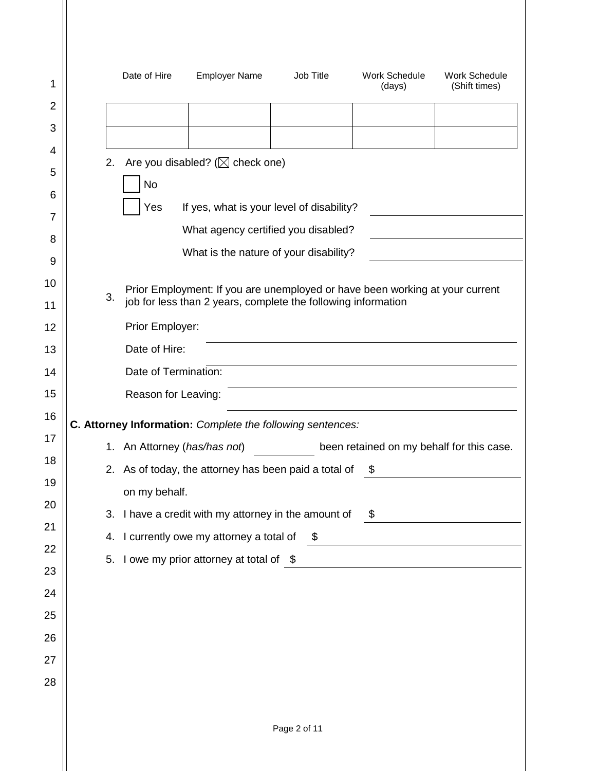|    | Date of Hire                 | <b>Employer Name</b>                                                                                                                          | Job Title     | <b>Work Schedule</b><br>(days) | <b>Work Schedule</b><br>(Shift times)         |
|----|------------------------------|-----------------------------------------------------------------------------------------------------------------------------------------------|---------------|--------------------------------|-----------------------------------------------|
|    |                              |                                                                                                                                               |               |                                |                                               |
|    |                              |                                                                                                                                               |               |                                |                                               |
| 2. |                              | Are you disabled? ( $\boxtimes$ check one)                                                                                                    |               |                                |                                               |
|    | <b>No</b>                    |                                                                                                                                               |               |                                |                                               |
|    | Yes                          | If yes, what is your level of disability?                                                                                                     |               |                                |                                               |
|    |                              | What agency certified you disabled?                                                                                                           |               |                                |                                               |
|    |                              | What is the nature of your disability?                                                                                                        |               |                                |                                               |
| 3. |                              | Prior Employment: If you are unemployed or have been working at your current<br>job for less than 2 years, complete the following information |               |                                |                                               |
|    | Prior Employer:              |                                                                                                                                               |               |                                |                                               |
|    | Date of Hire:                |                                                                                                                                               |               |                                |                                               |
|    | Date of Termination:         |                                                                                                                                               |               |                                |                                               |
|    | Reason for Leaving:          |                                                                                                                                               |               |                                |                                               |
|    |                              | C. Attorney Information: Complete the following sentences:                                                                                    |               |                                |                                               |
|    | 1. An Attorney (has/has not) |                                                                                                                                               |               |                                | been retained on my behalf for this case.     |
|    |                              | 2. As of today, the attorney has been paid a total of                                                                                         |               | \$                             |                                               |
|    | on my behalf.                |                                                                                                                                               |               |                                |                                               |
|    |                              | 3. I have a credit with my attorney in the amount of $\frac{\$}{\$}$                                                                          |               |                                |                                               |
|    |                              | 4. I currently owe my attorney a total of                                                                                                     | $\mathfrak s$ |                                | <u> 1980 - Andrea Andrew Maria (h. 1980).</u> |
|    |                              | 5. I owe my prior attorney at total of \$                                                                                                     |               |                                |                                               |
|    |                              |                                                                                                                                               |               |                                |                                               |
|    |                              |                                                                                                                                               |               |                                |                                               |
|    |                              |                                                                                                                                               |               |                                |                                               |
|    |                              |                                                                                                                                               |               |                                |                                               |
|    |                              |                                                                                                                                               |               |                                |                                               |
|    |                              |                                                                                                                                               |               |                                |                                               |
|    |                              |                                                                                                                                               | Page 2 of 11  |                                |                                               |
|    |                              |                                                                                                                                               |               |                                |                                               |

1

2

3

4

5

6

7

8

9

10

11

12

13

14

15

16

17

18

19

20

21

22

23

24

25

26

27

28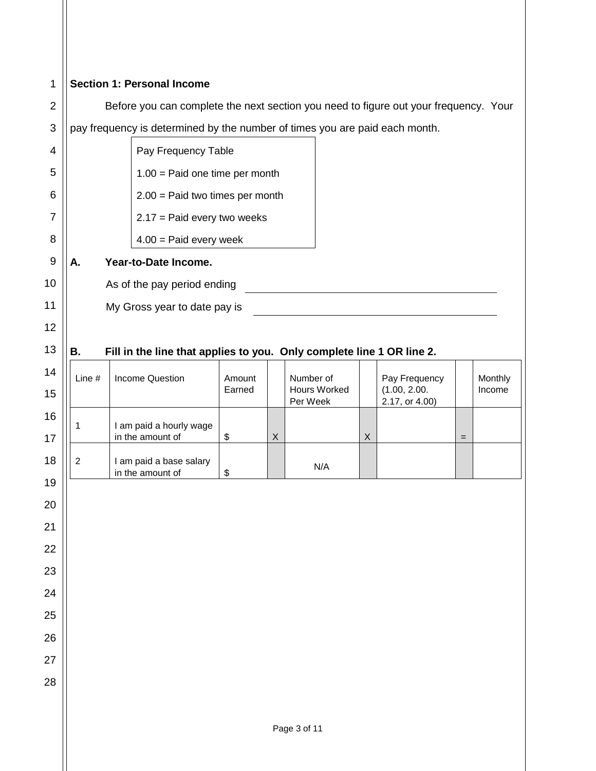| $\mathbf{1}$   | <b>Section 1: Personal Income</b>                                                    |              |                                                                             |                  |   |                                       |             |                                                 |     |                   |
|----------------|--------------------------------------------------------------------------------------|--------------|-----------------------------------------------------------------------------|------------------|---|---------------------------------------|-------------|-------------------------------------------------|-----|-------------------|
| $\overline{2}$ | Before you can complete the next section you need to figure out your frequency. Your |              |                                                                             |                  |   |                                       |             |                                                 |     |                   |
| 3              |                                                                                      |              | pay frequency is determined by the number of times you are paid each month. |                  |   |                                       |             |                                                 |     |                   |
| 4              | Pay Frequency Table                                                                  |              |                                                                             |                  |   |                                       |             |                                                 |     |                   |
| 5              |                                                                                      |              | $1.00$ = Paid one time per month                                            |                  |   |                                       |             |                                                 |     |                   |
| 6              |                                                                                      |              | $2.00 =$ Paid two times per month                                           |                  |   |                                       |             |                                                 |     |                   |
| 7              |                                                                                      |              | $2.17$ = Paid every two weeks                                               |                  |   |                                       |             |                                                 |     |                   |
| 8              |                                                                                      |              | $4.00 =$ Paid every week                                                    |                  |   |                                       |             |                                                 |     |                   |
| $9\,$          | Α.                                                                                   |              | Year-to-Date Income.                                                        |                  |   |                                       |             |                                                 |     |                   |
| 10             |                                                                                      |              | As of the pay period ending                                                 |                  |   |                                       |             |                                                 |     |                   |
| 11             |                                                                                      |              | My Gross year to date pay is                                                |                  |   |                                       |             |                                                 |     |                   |
| 12             |                                                                                      |              |                                                                             |                  |   |                                       |             |                                                 |     |                   |
| 13             | <b>B.</b>                                                                            |              | Fill in the line that applies to you. Only complete line 1 OR line 2.       |                  |   |                                       |             |                                                 |     |                   |
| 14<br>15       | Line #                                                                               |              | <b>Income Question</b>                                                      | Amount<br>Earned |   | Number of<br>Hours Worked<br>Per Week |             | Pay Frequency<br>(1.00, 2.00.<br>2.17, or 4.00) |     | Monthly<br>Income |
| 16<br>17       | 1                                                                                    |              | I am paid a hourly wage<br>in the amount of                                 | \$               | X |                                       | $\mathsf X$ |                                                 | $=$ |                   |
| 18             | $\sqrt{2}$                                                                           |              | I am paid a base salary<br>in the amount of                                 | \$               |   | N/A                                   |             |                                                 |     |                   |
| 19<br>20       |                                                                                      |              |                                                                             |                  |   |                                       |             |                                                 |     |                   |
| 21             |                                                                                      |              |                                                                             |                  |   |                                       |             |                                                 |     |                   |
| 22             |                                                                                      |              |                                                                             |                  |   |                                       |             |                                                 |     |                   |
| 23             |                                                                                      |              |                                                                             |                  |   |                                       |             |                                                 |     |                   |
| 24             |                                                                                      |              |                                                                             |                  |   |                                       |             |                                                 |     |                   |
| 25             |                                                                                      |              |                                                                             |                  |   |                                       |             |                                                 |     |                   |
| 26             |                                                                                      |              |                                                                             |                  |   |                                       |             |                                                 |     |                   |
| 27             |                                                                                      |              |                                                                             |                  |   |                                       |             |                                                 |     |                   |
| 28             |                                                                                      |              |                                                                             |                  |   |                                       |             |                                                 |     |                   |
|                |                                                                                      |              |                                                                             |                  |   |                                       |             |                                                 |     |                   |
|                |                                                                                      | Page 3 of 11 |                                                                             |                  |   |                                       |             |                                                 |     |                   |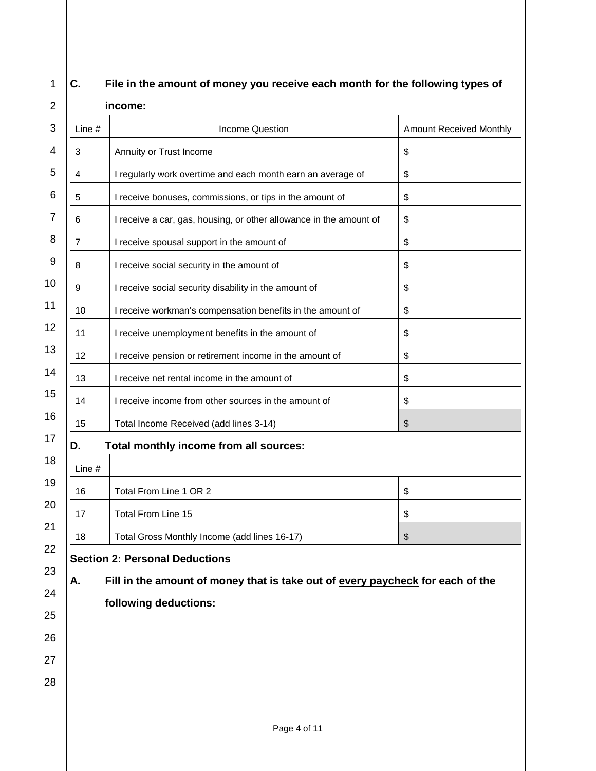## **C. File in the amount of money you receive each month for the following types of**

1

### 2 3 4 5 6 7 8 9 10 11 12 13 14 15 16 17 18 19 20 21 22 23 24 25 26 27 28 **income:** Line # Income Question Amount Received Monthly 3 Annuity or Trust Income \$ 4 | I regularly work overtime and each month earn an average of  $\frac{1}{s}$ 5 | I receive bonuses, commissions, or tips in the amount of  $\sim$  | \$ 6 I receive a car, gas, housing, or other allowance in the amount of  $\frac{1}{3}$ 7 | I receive spousal support in the amount of  $\sim$  | \$ 8 | I receive social security in the amount of  $\sqrt{s}$ 9 | I receive social security disability in the amount of  $\sqrt{s}$ 10 | I receive workman's compensation benefits in the amount of  $\frac{1}{s}$ 11 | I receive unemployment benefits in the amount of  $\sqrt{s}$ 12 | I receive pension or retirement income in the amount of  $\sqrt{s}$ 13 | I receive net rental income in the amount of  $\sqrt{s}$ 14 | I receive income from other sources in the amount of  $\sqrt{s}$ 15 | Total Income Received (add lines 3-14) | \$ **D. Total monthly income from all sources:** Line # 16 | Total From Line 1 OR 2 | \$ 17 | Total From Line 15 | \$ 18 | Total Gross Monthly Income (add lines 16-17) | \$ **Section 2: Personal Deductions A. Fill in the amount of money that is take out of every paycheck for each of the following deductions:**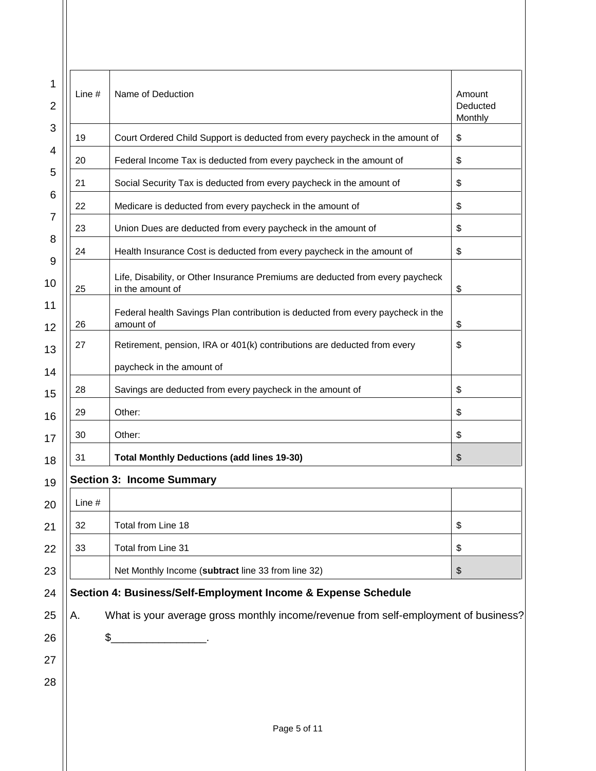| Line $#$ | Name of Deduction                                                                                  | Amount<br>Deducted<br>Monthly |
|----------|----------------------------------------------------------------------------------------------------|-------------------------------|
| 19       | Court Ordered Child Support is deducted from every paycheck in the amount of                       | \$                            |
| 20       | Federal Income Tax is deducted from every paycheck in the amount of                                | \$                            |
| 21       | Social Security Tax is deducted from every paycheck in the amount of                               | \$                            |
| 22       | Medicare is deducted from every paycheck in the amount of                                          | \$                            |
| 23       | Union Dues are deducted from every paycheck in the amount of                                       | \$                            |
| 24       | Health Insurance Cost is deducted from every paycheck in the amount of                             | \$                            |
| 25       | Life, Disability, or Other Insurance Premiums are deducted from every paycheck<br>in the amount of | \$                            |
| 26       | Federal health Savings Plan contribution is deducted from every paycheck in the<br>amount of       | \$                            |
| 27       | Retirement, pension, IRA or 401(k) contributions are deducted from every                           | \$                            |
|          | paycheck in the amount of                                                                          |                               |
| 28       | Savings are deducted from every paycheck in the amount of                                          | \$                            |
| 29       | Other:                                                                                             | \$                            |
| 30       | Other:                                                                                             | \$                            |
| 31       | <b>Total Monthly Deductions (add lines 19-30)</b>                                                  | \$                            |
|          | <b>Section 3: Income Summary</b>                                                                   |                               |
| Line #   |                                                                                                    |                               |
| 32       | Total from Line 18                                                                                 | \$                            |
| 33       | Total from Line 31                                                                                 | \$                            |
|          | Net Monthly Income (subtract line 33 from line 32)                                                 | \$                            |
|          | Section 4: Business/Self-Employment Income & Expense Schedule                                      |                               |
| А.       | What is your average gross monthly income/revenue from self-employment of business?                |                               |
|          | \$                                                                                                 |                               |
|          |                                                                                                    |                               |
|          |                                                                                                    |                               |
|          |                                                                                                    |                               |
|          | Page 5 of 11                                                                                       |                               |
|          |                                                                                                    |                               |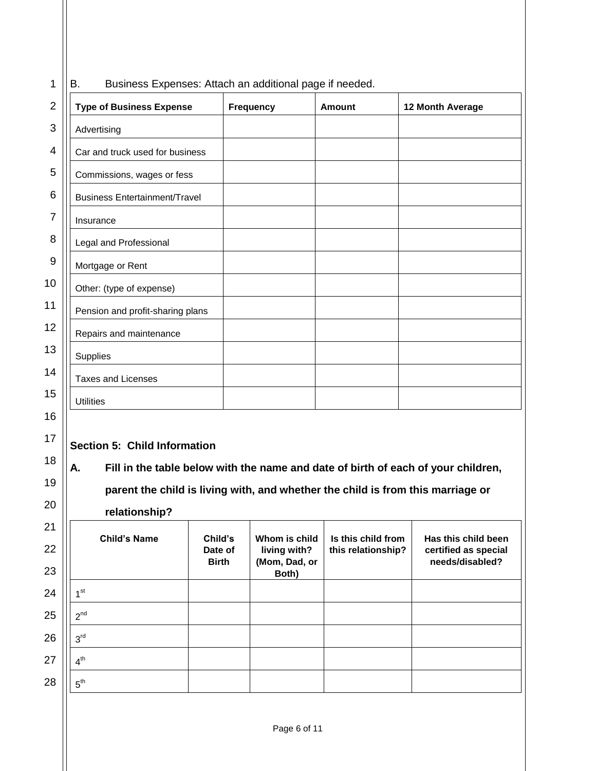| 1                                            | Business Expenses: Attach an additional page if needed.<br>В.                   |                                    |                                                         |                                          |                                                                                   |  |  |  |  |
|----------------------------------------------|---------------------------------------------------------------------------------|------------------------------------|---------------------------------------------------------|------------------------------------------|-----------------------------------------------------------------------------------|--|--|--|--|
| $\overline{2}$                               | <b>Type of Business Expense</b>                                                 |                                    | <b>Frequency</b>                                        | <b>Amount</b>                            | <b>12 Month Average</b>                                                           |  |  |  |  |
| 3                                            | Advertising                                                                     |                                    |                                                         |                                          |                                                                                   |  |  |  |  |
| 4                                            | Car and truck used for business                                                 |                                    |                                                         |                                          |                                                                                   |  |  |  |  |
| 5                                            | Commissions, wages or fess                                                      |                                    |                                                         |                                          |                                                                                   |  |  |  |  |
| 6                                            | <b>Business Entertainment/Travel</b>                                            |                                    |                                                         |                                          |                                                                                   |  |  |  |  |
| 7                                            | Insurance                                                                       |                                    |                                                         |                                          |                                                                                   |  |  |  |  |
| 8                                            | Legal and Professional                                                          |                                    |                                                         |                                          |                                                                                   |  |  |  |  |
| 9                                            | Mortgage or Rent                                                                |                                    |                                                         |                                          |                                                                                   |  |  |  |  |
| 0                                            | Other: (type of expense)                                                        |                                    |                                                         |                                          |                                                                                   |  |  |  |  |
| $\mathbf 1$                                  | Pension and profit-sharing plans                                                |                                    |                                                         |                                          |                                                                                   |  |  |  |  |
| $\overline{2}$                               | Repairs and maintenance                                                         |                                    |                                                         |                                          |                                                                                   |  |  |  |  |
| 3                                            | Supplies                                                                        |                                    |                                                         |                                          |                                                                                   |  |  |  |  |
| 4                                            | <b>Taxes and Licenses</b>                                                       |                                    |                                                         |                                          |                                                                                   |  |  |  |  |
| 5                                            | <b>Utilities</b>                                                                |                                    |                                                         |                                          |                                                                                   |  |  |  |  |
| 6                                            |                                                                                 |                                    |                                                         |                                          |                                                                                   |  |  |  |  |
| $\overline{7}$                               | <b>Section 5: Child Information</b>                                             |                                    |                                                         |                                          |                                                                                   |  |  |  |  |
| 8                                            | А.                                                                              |                                    |                                                         |                                          | Fill in the table below with the name and date of birth of each of your children, |  |  |  |  |
| 9                                            | parent the child is living with, and whether the child is from this marriage or |                                    |                                                         |                                          |                                                                                   |  |  |  |  |
| 20                                           | relationship?                                                                   |                                    |                                                         |                                          |                                                                                   |  |  |  |  |
| $\overline{.}1$<br>$\overline{2}$<br>$^{23}$ | <b>Child's Name</b>                                                             | Child's<br>Date of<br><b>Birth</b> | Whom is child<br>living with?<br>(Mom, Dad, or<br>Both) | Is this child from<br>this relationship? | Has this child been<br>certified as special<br>needs/disabled?                    |  |  |  |  |
|                                              |                                                                                 |                                    |                                                         |                                          |                                                                                   |  |  |  |  |

# 10 11  $\overline{1}$  $\overline{1}$  $\ddot{1}$  $\overline{1}$ 16 17 18 19  $\overline{2}$ 21  $2^{\circ}$  $2<sup>3</sup>$ 24 25 26 27 28

1 st

 $2^{nd}$ 

 $3^{\text{rd}}$ 

 $4<sup>th</sup>$ 

 $5^{\text{th}}$ 

Page 6 of 11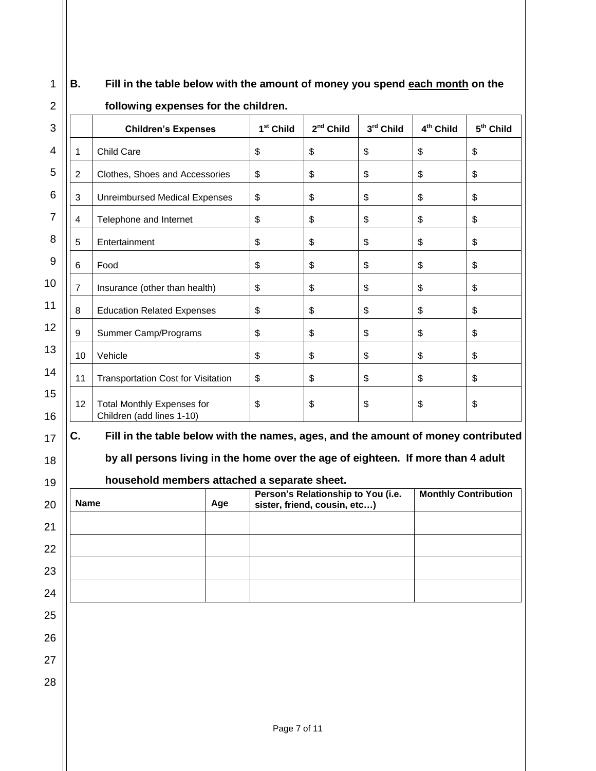| $1$   B. | Fill in the table below with the amount of money you spend each month on the |
|----------|------------------------------------------------------------------------------|
|          |                                                                              |

|                | <b>Children's Expenses</b>                                                        | 1 <sup>st</sup> Child | 2 <sup>nd</sup> Child                                              | 3rd Child | 4 <sup>th</sup> Child       | 5 <sup>th</sup> Child |
|----------------|-----------------------------------------------------------------------------------|-----------------------|--------------------------------------------------------------------|-----------|-----------------------------|-----------------------|
| 1              | Child Care                                                                        | \$                    | \$                                                                 | \$        | \$                          | \$                    |
| $\overline{2}$ | Clothes, Shoes and Accessories                                                    | \$                    | \$                                                                 | \$        | \$                          | \$                    |
| 3              | <b>Unreimbursed Medical Expenses</b>                                              | \$                    | \$                                                                 | \$        | \$                          | \$                    |
| 4              | Telephone and Internet                                                            | \$                    | \$                                                                 | \$        | \$                          | \$                    |
| 5              | Entertainment                                                                     | \$                    | \$                                                                 | \$        | \$                          | \$                    |
| 6              | Food                                                                              | \$                    | \$                                                                 | \$        | \$                          | \$                    |
| $\overline{7}$ | Insurance (other than health)                                                     | \$                    | \$                                                                 | \$        | \$                          | \$                    |
| 8              | <b>Education Related Expenses</b>                                                 | \$                    | \$                                                                 | \$        | \$                          | \$                    |
| 9              | Summer Camp/Programs                                                              | \$                    | \$                                                                 | \$        | \$                          | \$                    |
| 10             | Vehicle                                                                           | \$                    | \$                                                                 | \$        | \$                          | \$                    |
| 11             | <b>Transportation Cost for Visitation</b>                                         | \$                    | \$                                                                 | \$        | \$                          | \$                    |
| 12             | <b>Total Monthly Expenses for</b><br>Children (add lines 1-10)                    | \$                    | \$                                                                 | \$        | \$                          | \$                    |
| C.             | Fill in the table below with the names, ages, and the amount of money contributed |                       |                                                                    |           |                             |                       |
|                | by all persons living in the home over the age of eighteen. If more than 4 adult  |                       |                                                                    |           |                             |                       |
|                | household members attached a separate sheet.                                      |                       |                                                                    |           |                             |                       |
| <b>Name</b>    | Age                                                                               |                       | Person's Relationship to You (i.e.<br>sister, friend, cousin, etc) |           | <b>Monthly Contribution</b> |                       |
|                |                                                                                   |                       |                                                                    |           |                             |                       |

## **following expenses for the children.**



Ш

| <b>Name</b> | Age | Person's Relationship to You (i.e.<br>sister, friend, cousin, etc) | <b>Monthly Contribution</b> |
|-------------|-----|--------------------------------------------------------------------|-----------------------------|
|             |     |                                                                    |                             |
|             |     |                                                                    |                             |
|             |     |                                                                    |                             |
|             |     |                                                                    |                             |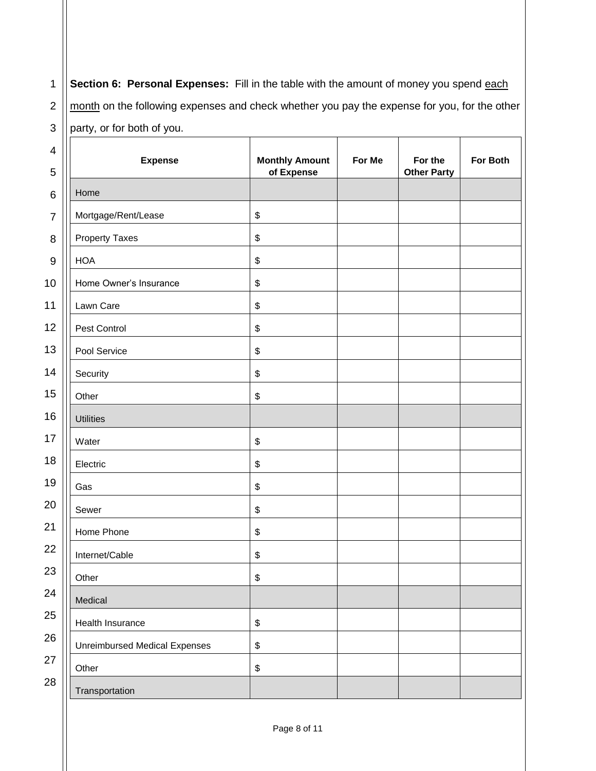1 2 3 **Section 6: Personal Expenses:** Fill in the table with the amount of money you spend each month on the following expenses and check whether you pay the expense for you, for the other party, or for both of you.

| 4              | <b>Expense</b>                       | <b>Monthly Amount</b>                     | For Me | For the            | For Both |
|----------------|--------------------------------------|-------------------------------------------|--------|--------------------|----------|
| 5              |                                      | of Expense                                |        | <b>Other Party</b> |          |
| 6              | Home                                 |                                           |        |                    |          |
| $\overline{7}$ | Mortgage/Rent/Lease                  | $\boldsymbol{\$}$                         |        |                    |          |
| 8              | <b>Property Taxes</b>                | $\boldsymbol{\$}$                         |        |                    |          |
| 9              | <b>HOA</b>                           | $\, \, \raisebox{12pt}{$\scriptstyle \$}$ |        |                    |          |
| 10             | Home Owner's Insurance               | \$                                        |        |                    |          |
| 11             | Lawn Care                            | $\boldsymbol{\$}$                         |        |                    |          |
| 12             | Pest Control                         | $\boldsymbol{\$}$                         |        |                    |          |
| 13             | Pool Service                         | \$                                        |        |                    |          |
| 14             | Security                             | \$                                        |        |                    |          |
| 15             | Other                                | $\boldsymbol{\$}$                         |        |                    |          |
| 16             | <b>Utilities</b>                     |                                           |        |                    |          |
| 17             | Water                                | $\, \, \raisebox{12pt}{$\scriptstyle \$}$ |        |                    |          |
| 18             | Electric                             | \$                                        |        |                    |          |
| 19             | Gas                                  | \$                                        |        |                    |          |
| 20             | Sewer                                | \$                                        |        |                    |          |
| 21             | Home Phone                           | \$                                        |        |                    |          |
| 22             | Internet/Cable                       | \$                                        |        |                    |          |
| 23             | Other                                | \$                                        |        |                    |          |
| 24             | Medical                              |                                           |        |                    |          |
| 25             | Health Insurance                     | $\, \, \raisebox{12pt}{$\scriptstyle \$}$ |        |                    |          |
| 26             | <b>Unreimbursed Medical Expenses</b> | $\, \, \raisebox{12pt}{$\scriptstyle \$}$ |        |                    |          |
| 27             | Other                                | \$                                        |        |                    |          |
| 28             | Transportation                       |                                           |        |                    |          |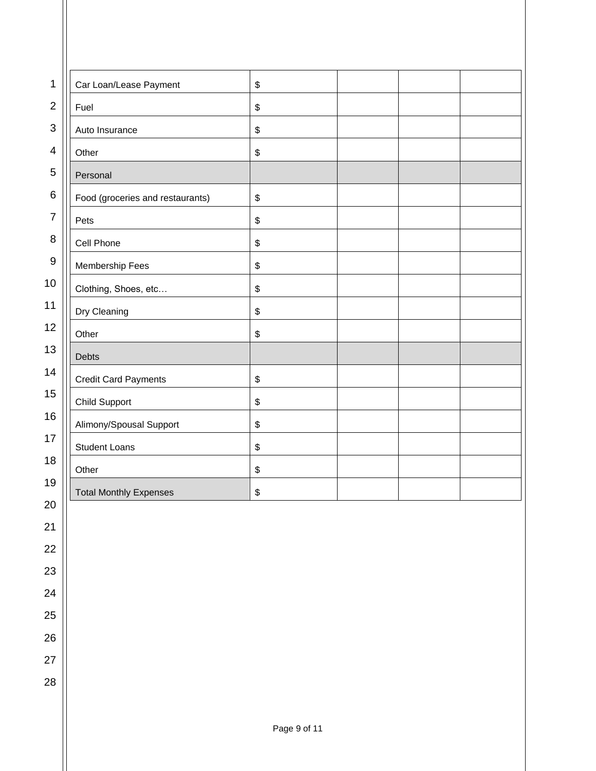| 1                | Car Loan/Lease Payment           | \$ |  |
|------------------|----------------------------------|----|--|
| $\overline{2}$   | Fuel                             | \$ |  |
| $\sqrt{3}$       | Auto Insurance                   | \$ |  |
| 4                | Other                            | \$ |  |
| 5                | Personal                         |    |  |
| 6                | Food (groceries and restaurants) | \$ |  |
| $\overline{7}$   | Pets                             | \$ |  |
| 8                | Cell Phone                       | \$ |  |
| $\boldsymbol{9}$ | Membership Fees                  | \$ |  |
| 10               | Clothing, Shoes, etc             | \$ |  |
| 11               | Dry Cleaning                     | \$ |  |
| 12               | Other                            | \$ |  |
| 13               | Debts                            |    |  |
| 14               | <b>Credit Card Payments</b>      | \$ |  |
| 15               | <b>Child Support</b>             | \$ |  |
| 16               | Alimony/Spousal Support          | \$ |  |
| 17               | <b>Student Loans</b>             | \$ |  |
| 18               | Other                            | \$ |  |
| 19               | <b>Total Monthly Expenses</b>    | \$ |  |
| 20               |                                  |    |  |
| 21               |                                  |    |  |
| 22               |                                  |    |  |
| 23               |                                  |    |  |

Ш

24

25

26

27

28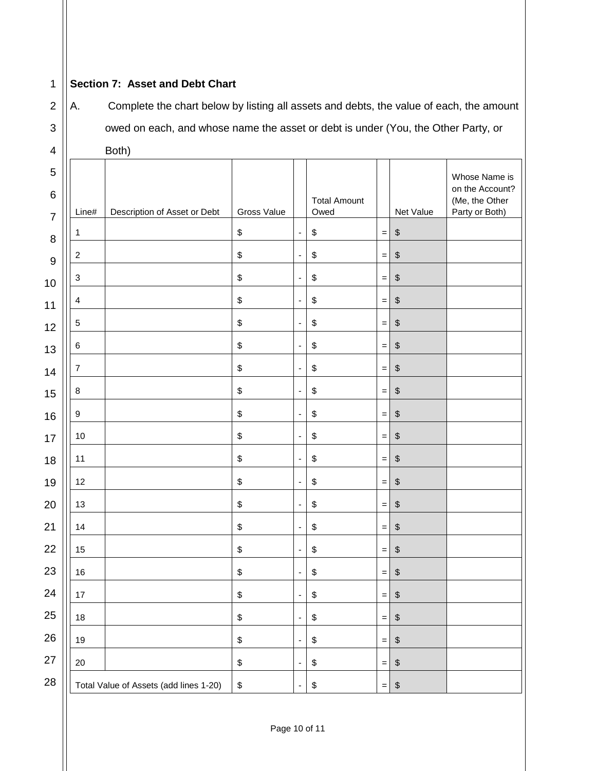## **Section 7: Asset and Debt Chart**

A. Complete the chart below by listing all assets and debts, the value of each, the amount owed on each, and whose name the asset or debt is under (You, the Other Party, or Both)

| 4                                     |                           | Both)                                  |                                           |                              |                             |                                   |                                           |                                                                      |
|---------------------------------------|---------------------------|----------------------------------------|-------------------------------------------|------------------------------|-----------------------------|-----------------------------------|-------------------------------------------|----------------------------------------------------------------------|
| $\sqrt{5}$<br>$\,6$<br>$\overline{7}$ | Line#                     | Description of Asset or Debt           | Gross Value                               |                              | <b>Total Amount</b><br>Owed |                                   | Net Value                                 | Whose Name is<br>on the Account?<br>(Me, the Other<br>Party or Both) |
| 8                                     | 1                         |                                        | $\, \, \raisebox{12pt}{$\scriptstyle \$}$ | $\overline{a}$               | \$                          | $\hspace{1.0cm} = \hspace{1.0cm}$ | $\, \, \raisebox{12pt}{$\scriptstyle \$}$ |                                                                      |
| $\boldsymbol{9}$                      | $\boldsymbol{2}$          |                                        | $\,$                                      | $\overline{\phantom{a}}$     | \$                          | $\,=\,$                           | $\,$                                      |                                                                      |
| 10                                    | $\ensuremath{\mathsf{3}}$ |                                        | $\,$                                      | $\qquad \qquad \blacksquare$ | \$                          | $\quad = \quad$                   | $\,$                                      |                                                                      |
| 11                                    | $\overline{\mathbf{4}}$   |                                        | \$                                        | ÷                            | \$                          | $\hspace{1.0cm} = \hspace{1.0cm}$ | $\, \, \raisebox{12pt}{$\scriptstyle \$}$ |                                                                      |
| 12                                    | $\,$ 5 $\,$               |                                        | \$                                        | ÷                            | \$                          | $\hspace{1.0cm} = \hspace{1.0cm}$ | $\,$                                      |                                                                      |
| 13                                    | $\,6\,$                   |                                        | \$                                        | $\overline{a}$               | \$                          | $\quad \  \  =$                   | $\,$                                      |                                                                      |
| 14                                    | $\overline{7}$            |                                        | $\,$                                      | $\overline{\phantom{a}}$     | \$                          | $\qquad \qquad =$                 | $\boldsymbol{\$}$                         |                                                                      |
| 15                                    | 8                         |                                        | \$                                        | $\overline{\phantom{a}}$     | \$                          | $\!=$                             | $\,$                                      |                                                                      |
| 16                                    | $9\,$                     |                                        | $\,$                                      | $\overline{a}$               | \$                          | $\hspace{1.0cm} = \hspace{1.0cm}$ | $\,$                                      |                                                                      |
| 17                                    | 10                        |                                        | \$                                        | $\overline{\phantom{a}}$     | \$                          | $\equiv$                          | $\,$                                      |                                                                      |
| 18                                    | 11                        |                                        | $\,$                                      | $\overline{\phantom{a}}$     | \$                          | $\,=\,$                           | $\, \, \raisebox{12pt}{$\scriptstyle \$}$ |                                                                      |
| 19                                    | 12                        |                                        | \$                                        | $\qquad \qquad \blacksquare$ | \$                          | $\,=\,$                           | $\, \, \raisebox{12pt}{$\scriptstyle \$}$ |                                                                      |
| 20                                    | 13                        |                                        | \$                                        | $\overline{a}$               | \$                          | $\hspace{1.0cm} = \hspace{1.0cm}$ | $\,$                                      |                                                                      |
| 21                                    | 14                        |                                        | \$                                        | $\overline{\phantom{a}}$     | \$                          | $\quad \  \  =$                   | $\,$                                      |                                                                      |
| 22                                    | 15                        |                                        | \$                                        | $\overline{\phantom{a}}$     | \$                          | $\quad =$                         | $\boldsymbol{\$}$                         |                                                                      |
| 23                                    | 16                        |                                        | \$                                        | $\overline{a}$               | \$                          | $\,=\,$                           | $\,$                                      |                                                                      |
| 24                                    | 17                        |                                        | $\, \, \raisebox{12pt}{$\scriptstyle \$}$ | $\overline{a}$               | \$                          | $\,=\,$                           | \$                                        |                                                                      |
| 25                                    | 18                        |                                        | $\, \, \raisebox{12pt}{$\scriptstyle \$}$ | ÷                            | $\boldsymbol{\$}$           | $\,=\,$                           | $\,$                                      |                                                                      |
| 26                                    | 19                        |                                        | $\,$                                      | $\qquad \qquad \blacksquare$ | $\boldsymbol{\$}$           | $\quad \  \  =$                   | $\pmb{\mathsf{\$}}$                       |                                                                      |
| 27                                    | $20\,$                    |                                        | $\, \, \raisebox{12pt}{$\scriptstyle \$}$ | ٠                            | \$                          | $\,=\,$                           | $\, \, \raisebox{12pt}{$\scriptstyle \$}$ |                                                                      |
| 28                                    |                           | Total Value of Assets (add lines 1-20) | $\, \, \raisebox{12pt}{$\scriptstyle \$}$ | ٠                            | \$                          | $\,=\,$                           | $\,$                                      |                                                                      |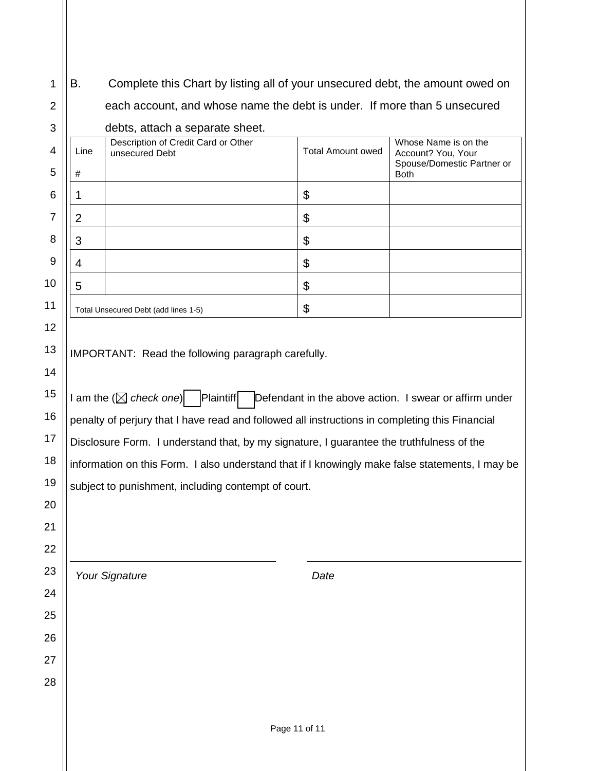B. Complete this Chart by listing all of your unsecured debt, the amount owed on each account, and whose name the debt is under. If more than 5 unsecured

debts, attach a separate sheet.

| 4  | Line | Description of Credit Card or Other<br>unsecured Debt | <b>Total Amount owed</b> | Whose Name is on the<br>Account? You, Your |
|----|------|-------------------------------------------------------|--------------------------|--------------------------------------------|
| 5  | #    |                                                       |                          | Spouse/Domestic Partner or<br><b>Both</b>  |
| 6  |      |                                                       | \$                       |                                            |
| 7  | 2    |                                                       | \$                       |                                            |
| 8  | 3    |                                                       | \$                       |                                            |
| 9  |      |                                                       | \$                       |                                            |
| 10 | 5    |                                                       | \$                       |                                            |
| 11 |      | Total Unsecured Debt (add lines 1-5)                  | \$                       |                                            |
| 12 |      |                                                       |                          |                                            |

IMPORTANT: Read the following paragraph carefully.

I am the  $(\boxtimes$  check one)  $\Box$  Plaintiff Defendant in the above action. I swear or affirm under penalty of perjury that I have read and followed all instructions in completing this Financial Disclosure Form. I understand that, by my signature, I guarantee the truthfulness of the information on this Form. I also understand that if I knowingly make false statements, I may be subject to punishment, including contempt of court.

*Your Signature Date*